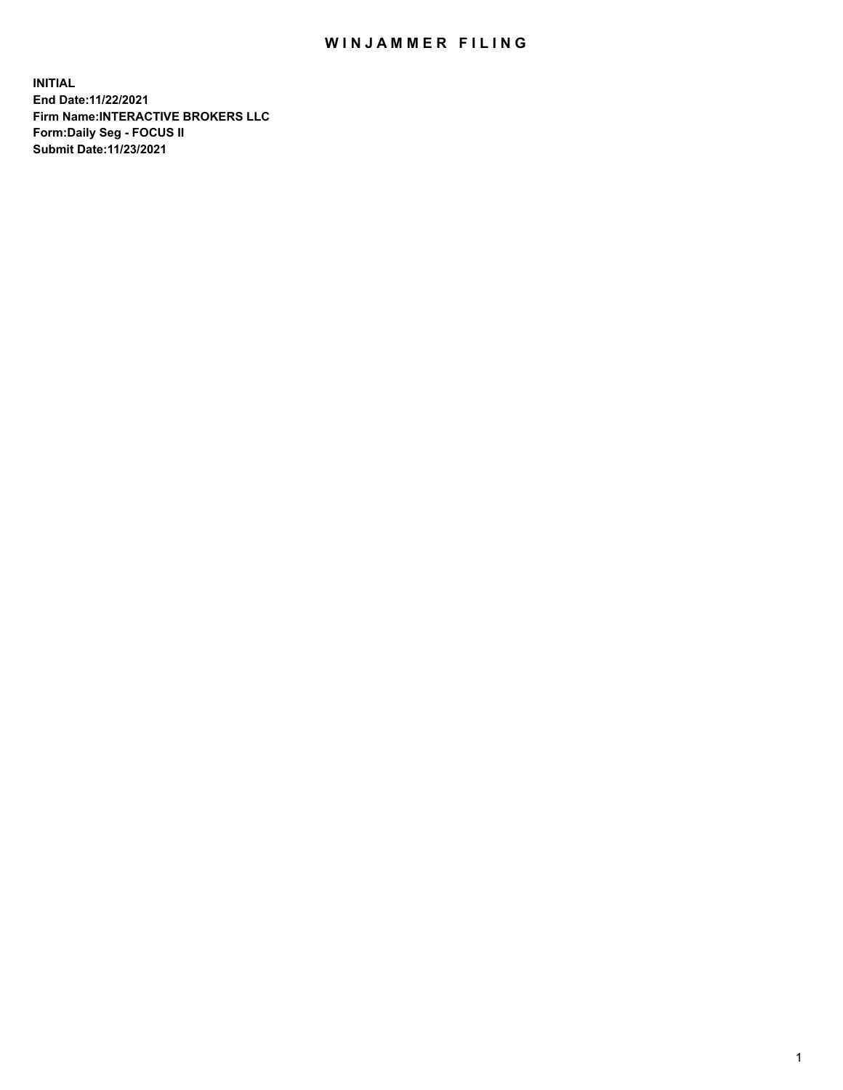## WIN JAMMER FILING

**INITIAL End Date:11/22/2021 Firm Name:INTERACTIVE BROKERS LLC Form:Daily Seg - FOCUS II Submit Date:11/23/2021**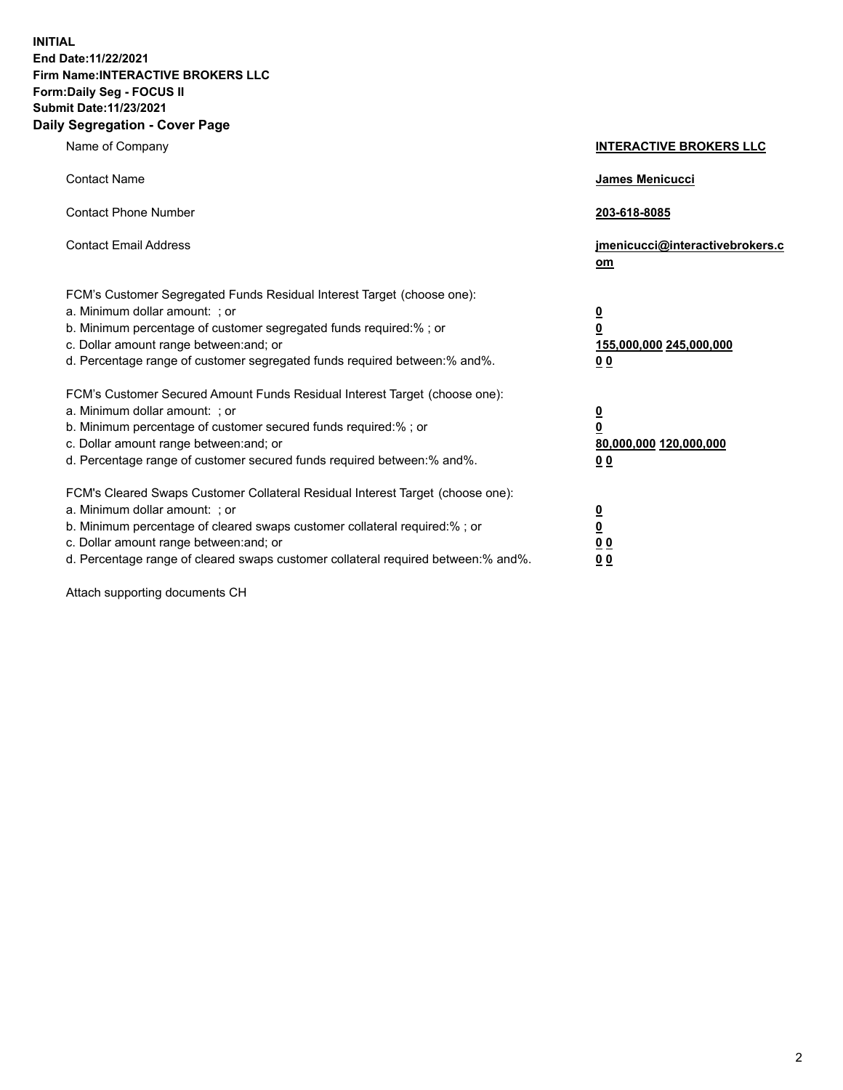**INITIAL End Date:11/22/2021 Firm Name:INTERACTIVE BROKERS LLC Form:Daily Seg - FOCUS II Submit Date:11/23/2021 Daily Segregation - Cover Page**

| Name of Company                                                                                                                                                                                                                                                                                                                | <b>INTERACTIVE BROKERS LLC</b>                                                                           |
|--------------------------------------------------------------------------------------------------------------------------------------------------------------------------------------------------------------------------------------------------------------------------------------------------------------------------------|----------------------------------------------------------------------------------------------------------|
| <b>Contact Name</b>                                                                                                                                                                                                                                                                                                            | James Menicucci                                                                                          |
| <b>Contact Phone Number</b>                                                                                                                                                                                                                                                                                                    | 203-618-8085                                                                                             |
| <b>Contact Email Address</b>                                                                                                                                                                                                                                                                                                   | jmenicucci@interactivebrokers.c<br>om                                                                    |
| FCM's Customer Segregated Funds Residual Interest Target (choose one):<br>a. Minimum dollar amount: ; or<br>b. Minimum percentage of customer segregated funds required:%; or<br>c. Dollar amount range between: and; or<br>d. Percentage range of customer segregated funds required between:% and%.                          | <u>0</u><br>$\overline{\mathbf{0}}$<br>155,000,000 245,000,000<br>0 <sub>0</sub>                         |
| FCM's Customer Secured Amount Funds Residual Interest Target (choose one):<br>a. Minimum dollar amount: ; or<br>b. Minimum percentage of customer secured funds required:%; or<br>c. Dollar amount range between: and; or<br>d. Percentage range of customer secured funds required between:% and%.                            | <u>0</u><br>$\overline{\mathbf{0}}$<br>80,000,000 120,000,000<br><u>00</u>                               |
| FCM's Cleared Swaps Customer Collateral Residual Interest Target (choose one):<br>a. Minimum dollar amount: ; or<br>b. Minimum percentage of cleared swaps customer collateral required:% ; or<br>c. Dollar amount range between: and; or<br>d. Percentage range of cleared swaps customer collateral required between:% and%. | $\overline{\mathbf{0}}$<br>$\underline{\mathbf{0}}$<br>$\underline{0}$ $\underline{0}$<br>0 <sub>0</sub> |

Attach supporting documents CH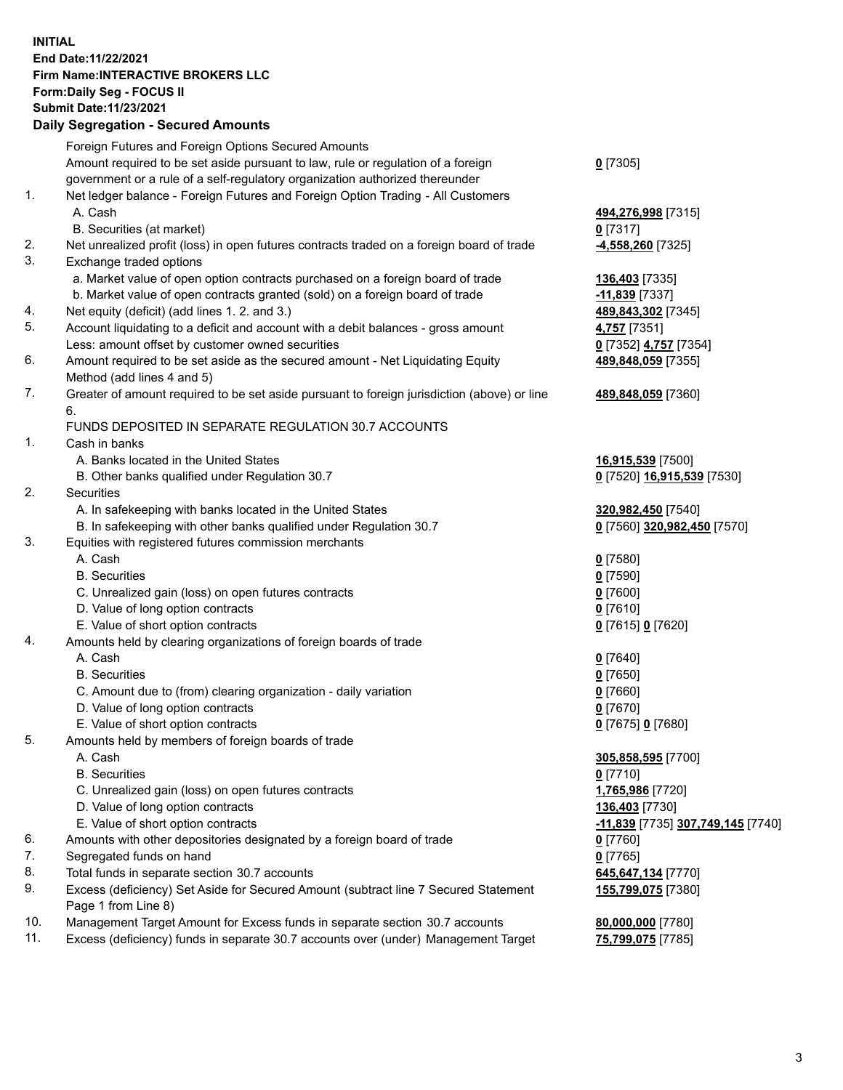## **INITIAL End Date:11/22/2021 Firm Name:INTERACTIVE BROKERS LLC Form:Daily Seg - FOCUS II Submit Date:11/23/2021 Daily Segregation - Secured Amounts**

|                | Daily Ocglegation - Occuled Anioants                                                              |                                                             |
|----------------|---------------------------------------------------------------------------------------------------|-------------------------------------------------------------|
|                | Foreign Futures and Foreign Options Secured Amounts                                               |                                                             |
|                | Amount required to be set aside pursuant to law, rule or regulation of a foreign                  | $0$ [7305]                                                  |
|                | government or a rule of a self-regulatory organization authorized thereunder                      |                                                             |
| $\mathbf{1}$ . | Net ledger balance - Foreign Futures and Foreign Option Trading - All Customers                   |                                                             |
|                | A. Cash                                                                                           | 494,276,998 [7315]                                          |
|                | B. Securities (at market)                                                                         | $0$ [7317]                                                  |
| 2.             | Net unrealized profit (loss) in open futures contracts traded on a foreign board of trade         | -4,558,260 [7325]                                           |
| 3.             | Exchange traded options                                                                           |                                                             |
|                | a. Market value of open option contracts purchased on a foreign board of trade                    | 136,403 [7335]                                              |
|                | b. Market value of open contracts granted (sold) on a foreign board of trade                      | $-11,839$ [7337]                                            |
| 4.             | Net equity (deficit) (add lines 1. 2. and 3.)                                                     | 489,843,302 [7345]                                          |
| 5.             | Account liquidating to a deficit and account with a debit balances - gross amount                 | 4,757 [7351]                                                |
|                | Less: amount offset by customer owned securities                                                  | 0 [7352] 4,757 [7354]                                       |
| 6.             | Amount required to be set aside as the secured amount - Net Liquidating Equity                    | 489,848,059 [7355]                                          |
|                | Method (add lines 4 and 5)                                                                        |                                                             |
| 7.             | Greater of amount required to be set aside pursuant to foreign jurisdiction (above) or line<br>6. | 489,848,059 [7360]                                          |
|                | FUNDS DEPOSITED IN SEPARATE REGULATION 30.7 ACCOUNTS                                              |                                                             |
| 1.             | Cash in banks                                                                                     |                                                             |
|                | A. Banks located in the United States                                                             | 16,915,539 [7500]                                           |
|                | B. Other banks qualified under Regulation 30.7                                                    | 0 [7520] 16,915,539 [7530]                                  |
| 2.             | Securities                                                                                        |                                                             |
|                | A. In safekeeping with banks located in the United States                                         | 320,982,450 [7540]                                          |
|                | B. In safekeeping with other banks qualified under Regulation 30.7                                | 0 [7560] 320,982,450 [7570]                                 |
| 3.             | Equities with registered futures commission merchants                                             |                                                             |
|                | A. Cash                                                                                           | $0$ [7580]                                                  |
|                | <b>B.</b> Securities                                                                              | $0$ [7590]                                                  |
|                | C. Unrealized gain (loss) on open futures contracts                                               | $0$ [7600]                                                  |
|                | D. Value of long option contracts                                                                 | $0$ [7610]                                                  |
|                | E. Value of short option contracts                                                                | 0 [7615] 0 [7620]                                           |
| 4.             | Amounts held by clearing organizations of foreign boards of trade                                 |                                                             |
|                | A. Cash                                                                                           | $0$ [7640]                                                  |
|                | <b>B.</b> Securities                                                                              | $0$ [7650]                                                  |
|                | C. Amount due to (from) clearing organization - daily variation                                   | $0$ [7660]                                                  |
|                | D. Value of long option contracts                                                                 | $0$ [7670]                                                  |
|                | E. Value of short option contracts                                                                | 0 [7675] 0 [7680]                                           |
| 5.             | Amounts held by members of foreign boards of trade                                                |                                                             |
|                | A. Cash                                                                                           | 305,858,595 [7700]                                          |
|                | <b>B.</b> Securities                                                                              | $0$ [7710]                                                  |
|                | C. Unrealized gain (loss) on open futures contracts                                               | 1,765,986 [7720]                                            |
|                | D. Value of long option contracts                                                                 | 136,403 [7730]                                              |
|                | E. Value of short option contracts                                                                | <mark>-11,839</mark> [7735] <mark>307,749,145</mark> [7740] |
| 6.             | Amounts with other depositories designated by a foreign board of trade                            | $0$ [7760]                                                  |
| 7.             | Segregated funds on hand                                                                          | $0$ [7765]                                                  |
| 8.             | Total funds in separate section 30.7 accounts                                                     | 645,647,134 [7770]                                          |
| 9.             | Excess (deficiency) Set Aside for Secured Amount (subtract line 7 Secured Statement               | 155,799,075 [7380]                                          |
|                | Page 1 from Line 8)                                                                               |                                                             |
| 10.            | Management Target Amount for Excess funds in separate section 30.7 accounts                       | 80,000,000 [7780]                                           |
| 11.            | Excess (deficiency) funds in separate 30.7 accounts over (under) Management Target                | 75,799,075 [7785]                                           |
|                |                                                                                                   |                                                             |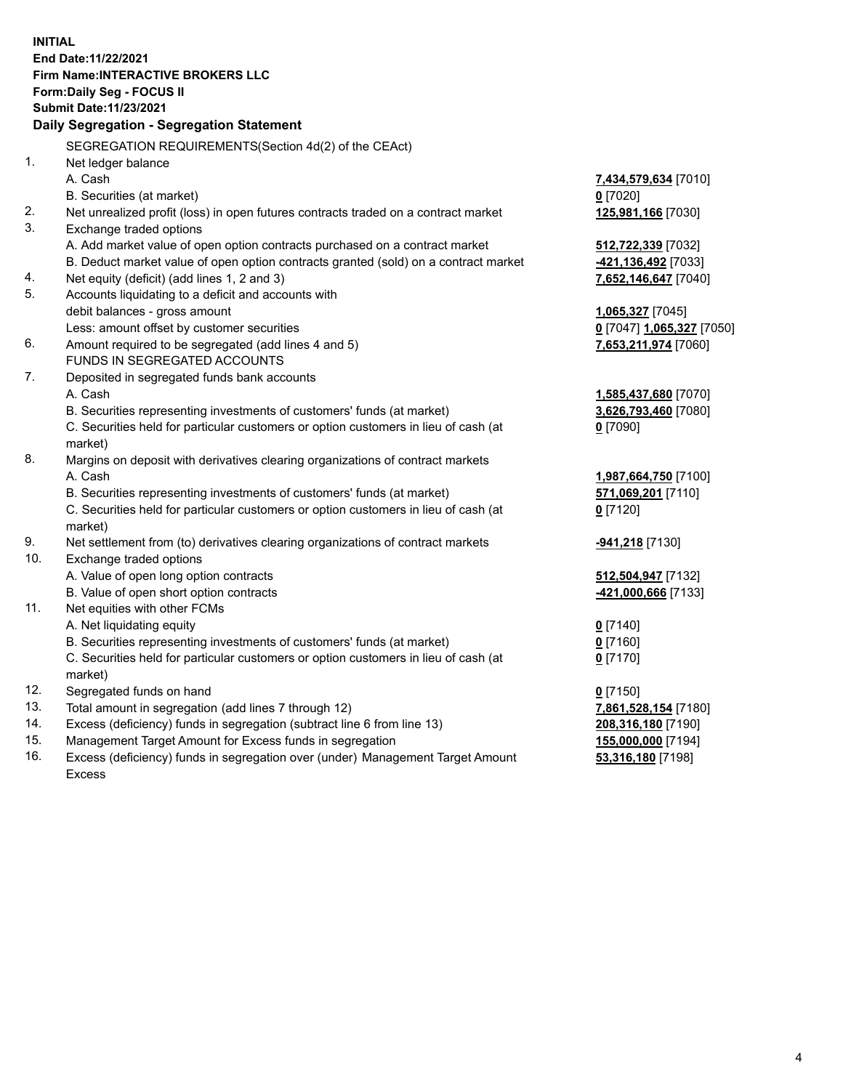**INITIAL End Date:11/22/2021 Firm Name:INTERACTIVE BROKERS LLC Form:Daily Seg - FOCUS II Submit Date:11/23/2021 Daily Segregation - Segregation Statement** SEGREGATION REQUIREMENTS(Section 4d(2) of the CEAct) 1. Net ledger balance A. Cash **7,434,579,634** [7010] B. Securities (at market) **0** [7020] 2. Net unrealized profit (loss) in open futures contracts traded on a contract market **125,981,166** [7030] 3. Exchange traded options A. Add market value of open option contracts purchased on a contract market **512,722,339** [7032] B. Deduct market value of open option contracts granted (sold) on a contract market **-421,136,492** [7033] 4. Net equity (deficit) (add lines 1, 2 and 3) **7,652,146,647** [7040] 5. Accounts liquidating to a deficit and accounts with debit balances - gross amount **1,065,327** [7045] Less: amount offset by customer securities **0** [7047] **1,065,327** [7050] 6. Amount required to be segregated (add lines 4 and 5) **7,653,211,974** [7060] FUNDS IN SEGREGATED ACCOUNTS 7. Deposited in segregated funds bank accounts A. Cash **1,585,437,680** [7070] B. Securities representing investments of customers' funds (at market) **3,626,793,460** [7080] C. Securities held for particular customers or option customers in lieu of cash (at market) **0** [7090] 8. Margins on deposit with derivatives clearing organizations of contract markets A. Cash **1,987,664,750** [7100] B. Securities representing investments of customers' funds (at market) **571,069,201** [7110] C. Securities held for particular customers or option customers in lieu of cash (at market) **0** [7120] 9. Net settlement from (to) derivatives clearing organizations of contract markets **-941,218** [7130] 10. Exchange traded options A. Value of open long option contracts **512,504,947** [7132] B. Value of open short option contracts **-421,000,666** [7133] 11. Net equities with other FCMs A. Net liquidating equity **0** [7140] B. Securities representing investments of customers' funds (at market) **0** [7160] C. Securities held for particular customers or option customers in lieu of cash (at market) **0** [7170] 12. Segregated funds on hand **0** [7150] 13. Total amount in segregation (add lines 7 through 12) **7,861,528,154** [7180] 14. Excess (deficiency) funds in segregation (subtract line 6 from line 13) **208,316,180** [7190] 15. Management Target Amount for Excess funds in segregation **155,000,000** [7194] **53,316,180** [7198]

16. Excess (deficiency) funds in segregation over (under) Management Target Amount Excess